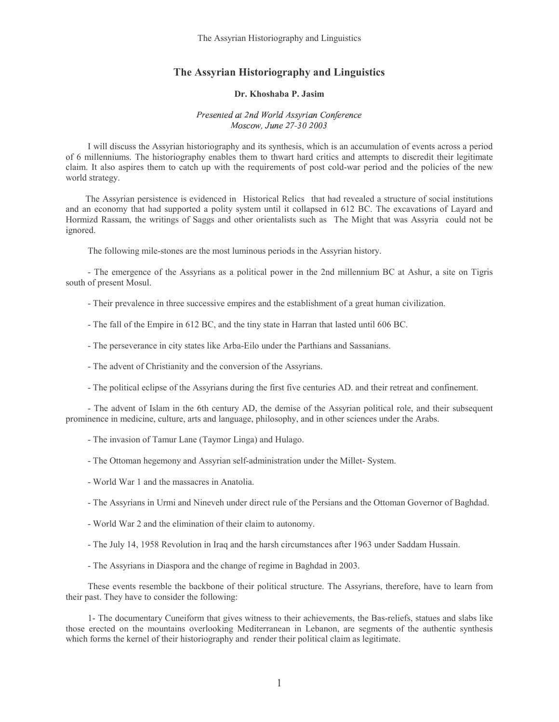The Assyrian Historiography and Linguistics

## The Assyrian Historiography and Linguistics

## Dr. Khoshaba P. Jasim

## -- -  -- --

 I will discuss the Assyrian historiography and its synthesis, which is an accumulation of events across a period of 6 millenniums. The historiography enables them to thwart hard critics and attempts to discredit their legitimate claim. It also aspires them to catch up with the requirements of post cold-war period and the policies of the new world strategy.

The Assyrian persistence is evidenced in ìHistorical Relicsî that had revealed a structure of social institutions and an economy that had supported a polity system until it collapsed in 612 BC. The excavations of Layard and Hormizd Rassam, the writings of Saggs and other orientalists such as ìThe Might that was Assyriaî could not be ignored.

The following mile-stones are the most luminous periods in the Assyrian history.

 - The emergence of the Assyrians as a political power in the 2nd millennium BC at Ashur, a site on Tigris south of present Mosul.

- Their prevalence in three successive empires and the establishment of a great human civilization.

- The fall of the Empire in 612 BC, and the tiny state in Harran that lasted until 606 BC.

- The perseverance in city states like Arba-Eilo under the Parthians and Sassanians.
- The advent of Christianity and the conversion of the Assyrians.
- The political eclipse of the Assyrians during the first five centuries AD. and their retreat and confinement.

 - The advent of Islam in the 6th century AD, the demise of the Assyrian political role, and their subsequent prominence in medicine, culture, arts and language, philosophy, and in other sciences under the Arabs.

- The invasion of Tamur Lane (Taymor Linga) and Hulago.
- The Ottoman hegemony and Assyrian self-administration under the Millet- System.
- World War 1 and the massacres in Anatolia.
- The Assyrians in Urmi and Nineveh under direct rule of the Persians and the Ottoman Governor of Baghdad.
- World War 2 and the elimination of their claim to autonomy.
- The July 14, 1958 Revolution in Iraq and the harsh circumstances after 1963 under Saddam Hussain.
- The Assyrians in Diaspora and the change of regime in Baghdad in 2003.

 These events resemble the backbone of their political structure. The Assyrians, therefore, have to learn from their past. They have to consider the following:

 1- The documentary Cuneiform that gives witness to their achievements, the Bas-reliefs, statues and slabs like those erected on the mountains overlooking Mediterranean in Lebanon, are segments of the authentic synthesis which forms the kernel of their historiography and render their political claim as legitimate.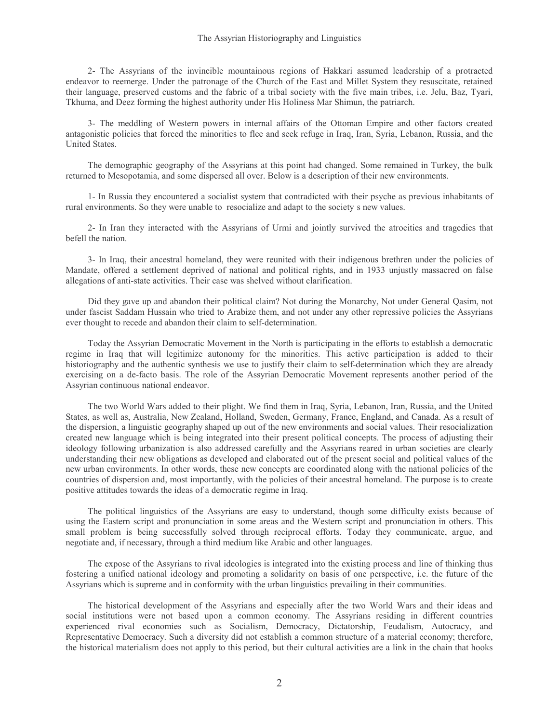2- The Assyrians of the invincible mountainous regions of Hakkari assumed leadership of a protracted endeavor to reemerge. Under the patronage of the Church of the East and Millet System they resuscitate, retained their language, preserved customs and the fabric of a tribal society with the five main tribes, i.e. Jelu, Baz, Tyari, Tkhuma, and Deez forming the highest authority under His Holiness Mar Shimun, the patriarch.

 3- The meddling of Western powers in internal affairs of the Ottoman Empire and other factors created antagonistic policies that forced the minorities to flee and seek refuge in Iraq, Iran, Syria, Lebanon, Russia, and the United States.

 The demographic geography of the Assyrians at this point had changed. Some remained in Turkey, the bulk returned to Mesopotamia, and some dispersed all over. Below is a description of their new environments.

 1- In Russia they encountered a socialist system that contradicted with their psyche as previous inhabitants of rural environments. So they were unable to resocialize and adapt to the societyís new values.

 2- In Iran they interacted with the Assyrians of Urmi and jointly survived the atrocities and tragedies that befell the nation.

 3- In Iraq, their ancestral homeland, they were reunited with their indigenous brethren under the policies of Mandate, offered a settlement deprived of national and political rights, and in 1933 unjustly massacred on false allegations of anti-state activities. Their case was shelved without clarification.

 Did they gave up and abandon their political claim? Not during the Monarchy, Not under General Qasim, not under fascist Saddam Hussain who tried to Arabize them, and not under any other repressive policies the Assyrians ever thought to recede and abandon their claim to self-determination.

 Today the Assyrian Democratic Movement in the North is participating in the efforts to establish a democratic regime in Iraq that will legitimize autonomy for the minorities. This active participation is added to their historiography and the authentic synthesis we use to justify their claim to self-determination which they are already exercising on a de-facto basis. The role of the Assyrian Democratic Movement represents another period of the Assyrian continuous national endeavor.

 The two World Wars added to their plight. We find them in Iraq, Syria, Lebanon, Iran, Russia, and the United States, as well as, Australia, New Zealand, Holland, Sweden, Germany, France, England, and Canada. As a result of the dispersion, a linguistic geography shaped up out of the new environments and social values. Their resocialization created new language which is being integrated into their present political concepts. The process of adjusting their ideology following urbanization is also addressed carefully and the Assyrians reared in urban societies are clearly understanding their new obligations as developed and elaborated out of the present social and political values of the new urban environments. In other words, these new concepts are coordinated along with the national policies of the countries of dispersion and, most importantly, with the policies of their ancestral homeland. The purpose is to create positive attitudes towards the ideas of a democratic regime in Iraq.

 The political linguistics of the Assyrians are easy to understand, though some difficulty exists because of using the Eastern script and pronunciation in some areas and the Western script and pronunciation in others. This small problem is being successfully solved through reciprocal efforts. Today they communicate, argue, and negotiate and, if necessary, through a third medium like Arabic and other languages.

 The expose of the Assyrians to rival ideologies is integrated into the existing process and line of thinking thus fostering a unified national ideology and promoting a solidarity on basis of one perspective, i.e. the future of the Assyrians which is supreme and in conformity with the urban linguistics prevailing in their communities.

 The historical development of the Assyrians and especially after the two World Wars and their ideas and social institutions were not based upon a common economy. The Assyrians residing in different countries experienced rival economies such as Socialism, Democracy, Dictatorship, Feudalism, Autocracy, and Representative Democracy. Such a diversity did not establish a common structure of a material economy; therefore, the historical materialism does not apply to this period, but their cultural activities are a link in the chain that hooks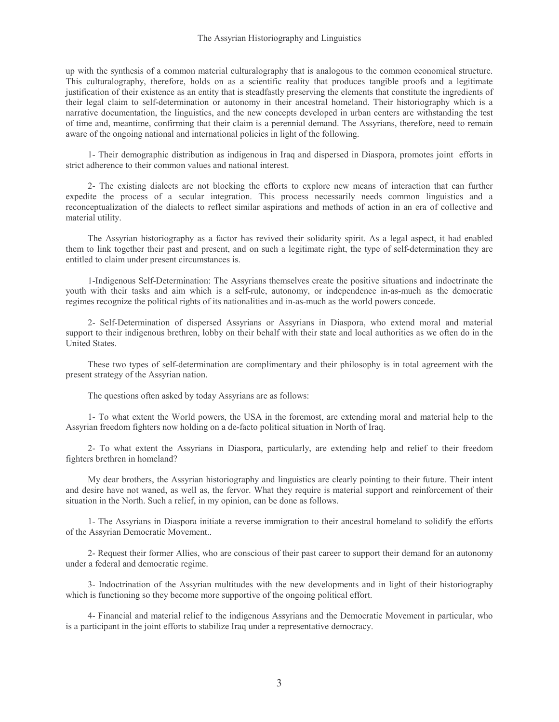up with the synthesis of a common material culturalography that is analogous to the common economical structure. This culturalography, therefore, holds on as a scientific reality that produces tangible proofs and a legitimate justification of their existence as an entity that is steadfastly preserving the elements that constitute the ingredients of their legal claim to self-determination or autonomy in their ancestral homeland. Their historiography which is a narrative documentation, the linguistics, and the new concepts developed in urban centers are withstanding the test of time and, meantime, confirming that their claim is a perennial demand. The Assyrians, therefore, need to remain aware of the ongoing national and international policies in light of the following.

 1- Their demographic distribution as indigenous in Iraq and dispersed in Diaspora, promotes joint efforts in strict adherence to their common values and national interest.

 2- The existing dialects are not blocking the efforts to explore new means of interaction that can further expedite the process of a secular integration. This process necessarily needs common linguistics and a reconceptualization of the dialects to reflect similar aspirations and methods of action in an era of collective and material utility.

 The Assyrian historiography as a factor has revived their solidarity spirit. As a legal aspect, it had enabled them to link together their past and present, and on such a legitimate right, the type of self-determination they are entitled to claim under present circumstances is.

 1-Indigenous Self-Determination: The Assyrians themselves create the positive situations and indoctrinate the youth with their tasks and aim which is a self-rule, autonomy, or independence in-as-much as the democratic regimes recognize the political rights of its nationalities and in-as-much as the world powers concede.

 2- Self-Determination of dispersed Assyrians or Assyrians in Diaspora, who extend moral and material support to their indigenous brethren, lobby on their behalf with their state and local authorities as we often do in the United States.

 These two types of self-determination are complimentary and their philosophy is in total agreement with the present strategy of the Assyrian nation.

The questions often asked by today Assyrians are as follows:

 1- To what extent the World powers, the USA in the foremost, are extending moral and material help to the Assyrian freedom fighters now holding on a de-facto political situation in North of Iraq.

 2- To what extent the Assyrians in Diaspora, particularly, are extending help and relief to their freedom fighters brethren in homeland?

 My dear brothers, the Assyrian historiography and linguistics are clearly pointing to their future. Their intent and desire have not waned, as well as, the fervor. What they require is material support and reinforcement of their situation in the North. Such a relief, in my opinion, can be done as follows.

 1- The Assyrians in Diaspora initiate a reverse immigration to their ancestral homeland to solidify the efforts of the Assyrian Democratic Movement..

 2- Request their former Allies, who are conscious of their past career to support their demand for an autonomy under a federal and democratic regime.

 3- Indoctrination of the Assyrian multitudes with the new developments and in light of their historiography which is functioning so they become more supportive of the ongoing political effort.

 4- Financial and material relief to the indigenous Assyrians and the Democratic Movement in particular, who is a participant in the joint efforts to stabilize Iraq under a representative democracy.